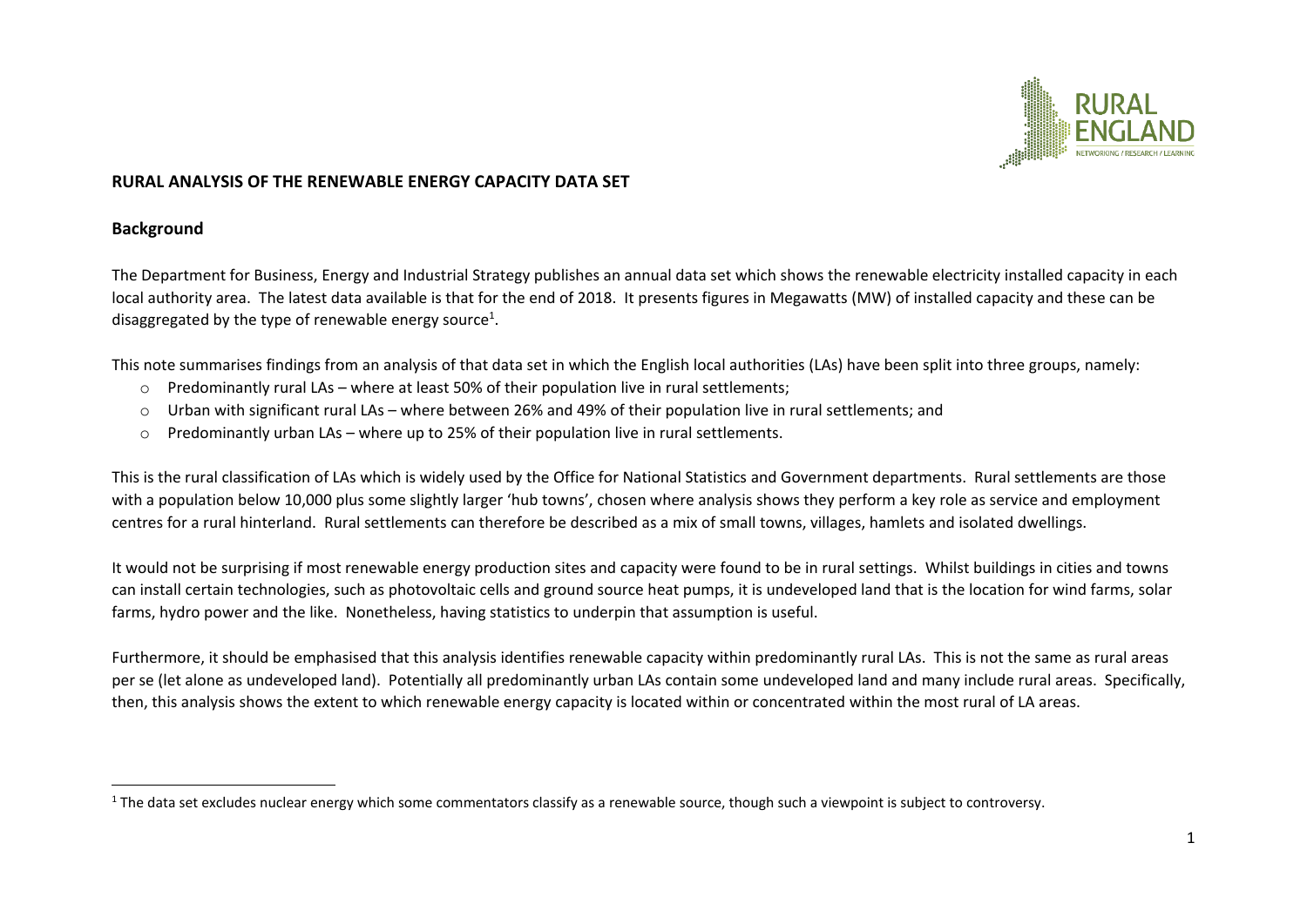

### **RURAL ANALYSIS OF THE RENEWABLE ENERGY CAPACITY DATA SET**

#### **Background**

The Department for Business, Energy and Industrial Strategy publishes an annual data set which shows the renewable electricity installed capacity in each local authority area. The latest data available is that for the end of 2018. It presents figures in Megawatts (MW) of installed capacity and these can be disaggregated by the type of renewable energy source<sup>1</sup>.

This note summarises findings from an analysis of that data set in which the English local authorities (LAs) have been split into three groups, namely:

- o Predominantly rural LAs where at least 50% of their population live in rural settlements;
- $\circ$  Urban with significant rural LAs where between 26% and 49% of their population live in rural settlements; and
- o Predominantly urban LAs where up to 25% of their population live in rural settlements.

This is the rural classification of LAs which is widely used by the Office for National Statistics and Government departments. Rural settlements are those with a population below 10,000 plus some slightly larger 'hub towns', chosen where analysis shows they perform a key role as service and employment centres for a rural hinterland. Rural settlements can therefore be described as a mix of small towns, villages, hamlets and isolated dwellings.

It would not be surprising if most renewable energy production sites and capacity were found to be in rural settings. Whilst buildings in cities and towns can install certain technologies, such as photovoltaic cells and ground source heat pumps, it is undeveloped land that is the location for wind farms, solar farms, hydro power and the like. Nonetheless, having statistics to underpin that assumption is useful.

Furthermore, it should be emphasised that this analysis identifies renewable capacity within predominantly rural LAs. This is not the same as rural areas per se (let alone as undeveloped land). Potentially all predominantly urban LAs contain some undeveloped land and many include rural areas. Specifically, then, this analysis shows the extent to which renewable energy capacity is located within or concentrated within the most rural of LA areas.

 $1$  The data set excludes nuclear energy which some commentators classify as a renewable source, though such a viewpoint is subject to controversy.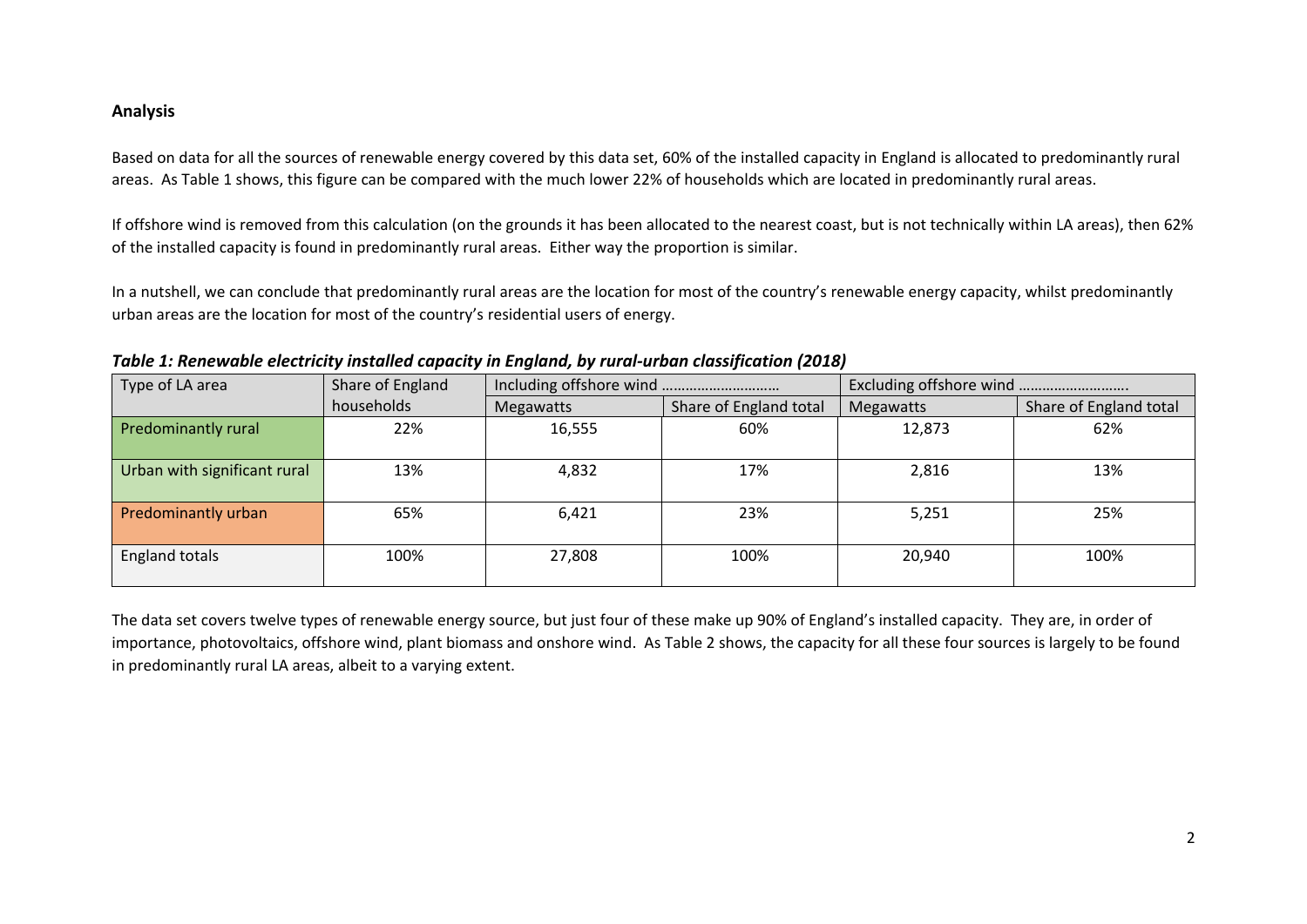## **Analysis**

Based on data for all the sources of renewable energy covered by this data set, 60% of the installed capacity in England is allocated to predominantly rural areas. As Table 1 shows, this figure can be compared with the much lower 22% of households which are located in predominantly rural areas.

If offshore wind is removed from this calculation (on the grounds it has been allocated to the nearest coast, but is not technically within LA areas), then 62% of the installed capacity is found in predominantly rural areas. Either way the proportion is similar.

In a nutshell, we can conclude that predominantly rural areas are the location for most of the country's renewable energy capacity, whilst predominantly urban areas are the location for most of the country's residential users of energy.

| Type of LA area              | Share of England |           |                        |           |                        |
|------------------------------|------------------|-----------|------------------------|-----------|------------------------|
|                              | households       | Megawatts | Share of England total | Megawatts | Share of England total |
| Predominantly rural          | 22%              | 16,555    | 60%                    | 12,873    | 62%                    |
| Urban with significant rural | 13%              | 4,832     | 17%                    | 2,816     | 13%                    |
| Predominantly urban          | 65%              | 6,421     | 23%                    | 5,251     | 25%                    |
| <b>England totals</b>        | 100%             | 27,808    | 100%                   | 20,940    | 100%                   |

*Table 1: Renewable electricity installed capacity in England, by rural-urban classification (2018)*

The data set covers twelve types of renewable energy source, but just four of these make up 90% of England's installed capacity. They are, in order of importance, photovoltaics, offshore wind, plant biomass and onshore wind. As Table 2 shows, the capacity for all these four sources is largely to be found in predominantly rural LA areas, albeit to a varying extent.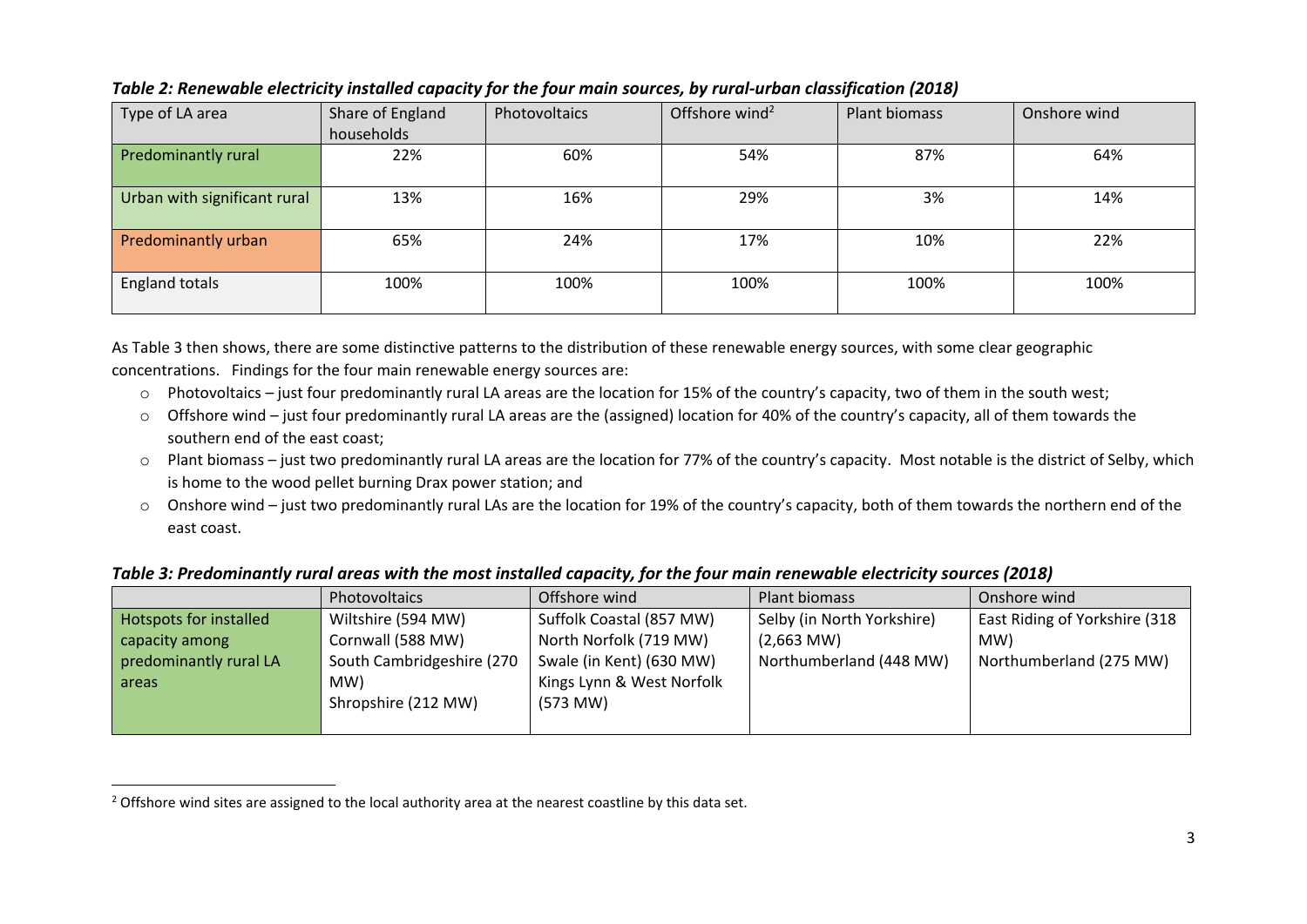| Type of LA area              | Share of England<br>households | Photovoltaics | Offshore wind <sup>2</sup> | Plant biomass | Onshore wind |
|------------------------------|--------------------------------|---------------|----------------------------|---------------|--------------|
| <b>Predominantly rural</b>   | 22%                            | 60%           | 54%                        | 87%           | 64%          |
| Urban with significant rural | 13%                            | 16%           | 29%                        | 3%            | 14%          |
| Predominantly urban          | 65%                            | 24%           | 17%                        | 10%           | 22%          |
| <b>England totals</b>        | 100%                           | 100%          | 100%                       | 100%          | 100%         |

# *Table 2: Renewable electricity installed capacity for the four main sources, by rural-urban classification (2018)*

As Table 3 then shows, there are some distinctive patterns to the distribution of these renewable energy sources, with some clear geographic concentrations. Findings for the four main renewable energy sources are:

- o Photovoltaics just four predominantly rural LA areas are the location for 15% of the country's capacity, two of them in the south west;
- $\circ$  Offshore wind just four predominantly rural LA areas are the (assigned) location for 40% of the country's capacity, all of them towards the southern end of the east coast;
- o Plant biomass just two predominantly rural LA areas are the location for 77% of the country's capacity. Most notable is the district of Selby, which is home to the wood pellet burning Drax power station; and
- o Onshore wind just two predominantly rural LAs are the location for 19% of the country's capacity, both of them towards the northern end of the east coast.

## *Table 3: Predominantly rural areas with the most installed capacity, for the four main renewable electricity sources (2018)*

|                        | <b>Photovoltaics</b>      | Offshore wind             | Plant biomass              | Onshore wind                  |
|------------------------|---------------------------|---------------------------|----------------------------|-------------------------------|
| Hotspots for installed | Wiltshire (594 MW)        | Suffolk Coastal (857 MW)  | Selby (in North Yorkshire) | East Riding of Yorkshire (318 |
| capacity among         | Cornwall (588 MW)         | North Norfolk (719 MW)    | $(2,663$ MW)               | MW)                           |
| predominantly rural LA | South Cambridgeshire (270 | Swale (in Kent) (630 MW)  | Northumberland (448 MW)    | Northumberland (275 MW)       |
| areas                  | MW)                       | Kings Lynn & West Norfolk |                            |                               |
|                        | Shropshire (212 MW)       | $(573$ MW)                |                            |                               |
|                        |                           |                           |                            |                               |

<sup>&</sup>lt;sup>2</sup> Offshore wind sites are assigned to the local authority area at the nearest coastline by this data set.